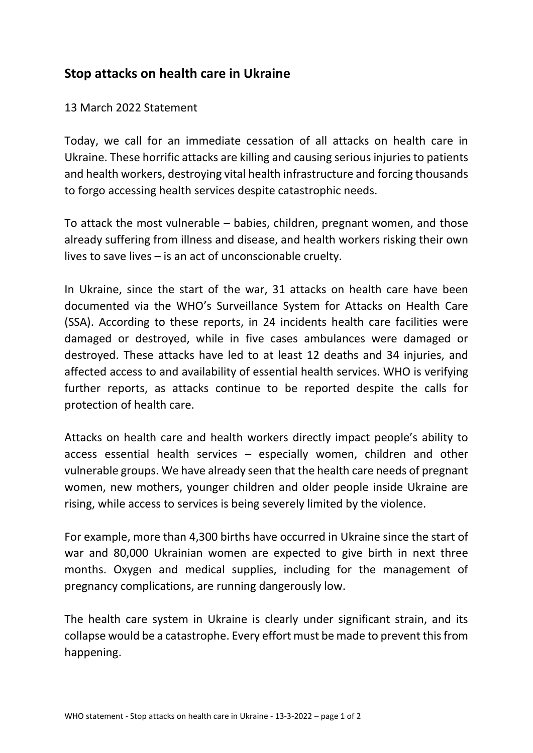## **Stop attacks on health care in Ukraine**

## 13 March 2022 Statement

Today, we call for an immediate cessation of all attacks on health care in Ukraine. These horrific attacks are killing and causing serious injuries to patients and health workers, destroying vital health infrastructure and forcing thousands to forgo accessing health services despite catastrophic needs.

To attack the most vulnerable – babies, children, pregnant women, and those already suffering from illness and disease, and health workers risking their own lives to save lives – is an act of unconscionable cruelty.

In Ukraine, since the start of the war, 31 attacks on health care have been documented via the WHO's Surveillance System for Attacks on Health Care (SSA). According to these reports, in 24 incidents health care facilities were damaged or destroyed, while in five cases ambulances were damaged or destroyed. These attacks have led to at least 12 deaths and 34 injuries, and affected access to and availability of essential health services. WHO is verifying further reports, as attacks continue to be reported despite the calls for protection of health care.

Attacks on health care and health workers directly impact people's ability to access essential health services – especially women, children and other vulnerable groups. We have already seen that the health care needs of pregnant women, new mothers, younger children and older people inside Ukraine are rising, while access to services is being severely limited by the violence.

For example, more than 4,300 births have occurred in Ukraine since the start of war and 80,000 Ukrainian women are expected to give birth in next three months. Oxygen and medical supplies, including for the management of pregnancy complications, are running dangerously low.

The health care system in Ukraine is clearly under significant strain, and its collapse would be a catastrophe. Every effort must be made to prevent this from happening.